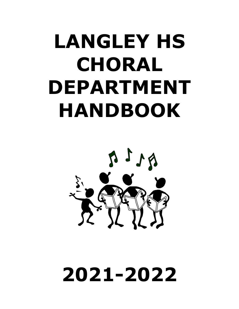# **LANGLEY HS CHORAL DEPARTMENT HANDBOOK**



# **2021-2022**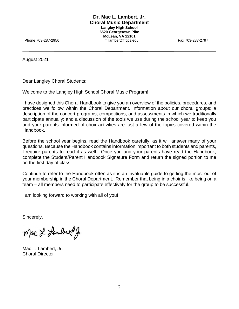August 2021

Dear Langley Choral Students:

Welcome to the Langley High School Choral Music Program!

I have designed this Choral Handbook to give you an overview of the policies, procedures, and practices we follow within the Choral Department. Information about our choral groups; a description of the concert programs, competitions, and assessments in which we traditionally participate annually; and a discussion of the tools we use during the school year to keep you and your parents informed of choir activities are just a few of the topics covered within the Handbook.

Before the school year begins, read the Handbook carefully, as it will answer many of your questions. Because the Handbook contains information important to both students and parents, I require parents to read it as well. Once you and your parents have read the Handbook, complete the Student/Parent Handbook Signature Form and return the signed portion to me on the first day of class.

Continue to refer to the Handbook often as it is an invaluable guide to getting the most out of your membership in the Choral Department. Remember that being in a choir is like being on a team – all members need to participate effectively for the group to be successful.

I am looking forward to working with all of you!

Sincerely,

Mac L. Lambert g.

Mac L. Lambert, Jr. Choral Director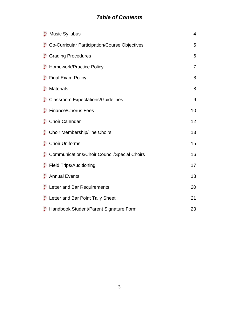# *Table of Contents*

| Music Syllabus                                | $\overline{4}$ |
|-----------------------------------------------|----------------|
| Co-Curricular Participation/Course Objectives | 5              |
| <b>Grading Procedures</b>                     | 6              |
| Homework/Practice Policy                      | 7              |
| Final Exam Policy                             | 8              |
| Materials                                     | 8              |
| Classroom Expectations/Guidelines             | 9              |
| Finance/Chorus Fees                           | 10             |
| Choir Calendar                                | 12             |
| Choir Membership/The Choirs                   | 13             |
| Choir Uniforms                                | 15             |
| Communications/Choir Council/Special Choirs   | 16             |
| Field Trips/Auditioning                       | 17             |
| Annual Events                                 | 18             |
| Letter and Bar Requirements                   | 20             |
| Letter and Bar Point Tally Sheet              | 21             |
| Handbook Student/Parent Signature Form        | 23             |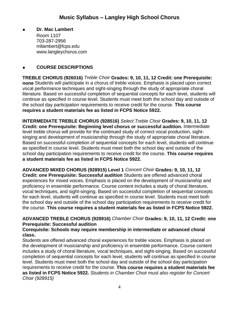● **Dr. Mac Lambert** Room 1107 703-287-2956 mllambert@fcps.edu www.langleychorus.com

# ● **COURSE DESCRIPTIONS**

**TREBLE CHORUS (926016)** *Treble Choir* **Grades: 9, 10, 11, 12 Credit: one Prerequisite: none** Students will participate in a chorus of treble voices. Emphasis is placed upon correct vocal performance techniques and sight-singing through the study of appropriate choral literature. Based on successful completion of sequential concepts for each level, students will continue as specified in course level. Students must meet both the school day and outside of the school day participation requirements to receive credit for the course. **This course requires a student materials fee as listed in FCPS Notice 5922.**

**INTERMEDIATE TREBLE CHORUS (928516)** *Select Treble Choir* **Grades: 9, 10, 11, 12 Credit: one Prerequisite: Beginning level chorus or successful audition.** Intermediate level treble chorus will provide for the continued study of correct vocal production, sightsinging and development of musicianship through the study of appropriate choral literature. Based on successful completion of sequential concepts for each level, students will continue as specified in course level. Students must meet both the school day and outside of the school day participation requirements to receive credit for the course. **This course requires a student materials fee as listed in FCPS Notice 5922.** 

**ADVANCED MIXED CHORUS (928915) Level 1** *Concert Choir* **Grades: 9, 10, 11, 12 Credit: one Prerequisite: Successful audition** Students are offered advanced choral experiences for mixed voices. Emphasis is placed on the development of musicianship and proficiency in ensemble performance. Course content includes a study of choral literature, vocal techniques, and sight-singing. Based on successful completion of sequential concepts for each level, students will continue as specified in course level. Students must meet both the school day and outside of the school day participation requirements to receive credit for the course. **This course requires a student materials fee as listed in FCPS Notice 5922.** 

# **ADVANCED TREBLE CHORUS (928916)** *Chamber Choir* **Grades: 9, 10, 11, 12 Credit: one Prerequisite: Successful audition**

#### **Corequisite: Schools may require membership in intermediate or advanced choral class.**

Students are offered advanced choral experiences for treble voices. Emphasis is placed on the development of musicianship and proficiency in ensemble performance. Course content includes a study of choral literature, vocal techniques, and sight-singing. Based on successful completion of sequential concepts for each level, students will continue as specified in course level. Students must meet both the school day and outside of the school day participation requirements to receive credit for the course. **This course requires a student materials fee as listed in FCPS Notice 5922.** *Students in Chamber Choir must also register for Concert Choir (928915)*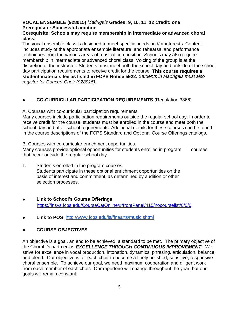#### **VOCAL ENSEMBLE (928015)** *Madrigals* **Grades: 9, 10, 11, 12 Credit: one Prerequisite: Successful audition**

#### **Corequisite: Schools may require membership in intermediate or advanced choral class.**

The vocal ensemble class is designed to meet specific needs and/or interests. Content includes study of the appropriate ensemble literature, and rehearsal and performance techniques from the various areas of musical composition. Schools may also require membership in intermediate or advanced choral class. Voicing of the group is at the discretion of the instructor. Students must meet both the school day and outside of the school day participation requirements to receive credit for the course. **This course requires a student materials fee as listed in FCPS Notice 5922.** *Students in Madrigals must also register for Concert Choir (928915).*

# ● **CO-CURRICULAR PARTICIPATION REQUIREMENTS** (Regulation 3866)

A. Courses with co-curricular participation requirements.

Many courses include participation requirements outside the regular school day. In order to receive credit for the course, students must be enrolled in the course and meet both the school-day and after-school requirements. Additional details for these courses can be found in the course descriptions of the FCPS Standard and Optional Course Offerings catalogs.

B. Courses with co-curricular enrichment opportunities.

Many courses provide optional opportunities for students enrolled in program courses that occur outside the regular school day.

- 1. Students enrolled in the program courses. Students participate in these optional enrichment opportunities on the basis of interest and commitment, as determined by audition or other selection processes.
- **Link to School's Course Offerings** <https://insys.fcps.edu/CourseCatOnline/#/frontPanel/415/nocourselist/0/0/0>
- **Link to POS** <http://www.fcps.edu/is/finearts/music.shtml>

# ● **COURSE OBJECTIVES**

An objective is a goal, an end to be achieved, a standard to be met. The primary objective of the Choral Department is *EXCELLENCE THROUGH CONTINUOUS IMPROVEMENT*. We strive for excellence in vocal production, intonation, dynamics, phrasing, articulation, balance, and blend. Our objective is for each choir to become a finely polished, sensitive, responsive choral ensemble. To achieve our goal, we need maximum cooperation and diligent work from each member of each choir. Our repertoire will change throughout the year, but our goals will remain constant: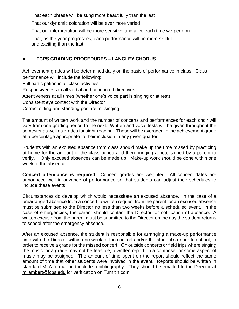That each phrase will be sung more beautifully than the last

That our dynamic coloration will be ever more varied

That our interpretation will be more sensitive and alive each time we perform

 That, as the year progresses, each performance will be more skillful and exciting than the last

# ● **FCPS GRADING PROCEDURES – LANGLEY CHORUS**

Achievement grades will be determined daily on the basis of performance in class. Class performance will include the following:

Full participation in all class activities

Responsiveness to all verbal and conducted directives

Attentiveness at all times (whether one's voice part is singing or at rest)

Consistent eye contact with the Director

Correct sitting and standing posture for singing

The amount of written work and the number of concerts and performances for each choir will vary from one grading period to the next. Written and vocal tests will be given throughout the semester as well as grades for sight-reading. These will be averaged in the achievement grade at a percentage appropriate to their inclusion in any given quarter.

Students with an excused absence from class should make up the time missed by practicing at home for the amount of the class period and then bringing a note signed by a parent to verify. Only excused absences can be made up. Make-up work should be done within one week of the absence.

**Concert attendance is required**. Concert grades are weighted. All concert dates are announced well in advance of performance so that students can adjust their schedules to include these events.

Circumstances do develop which would necessitate an excused absence. In the case of a prearranged absence from a concert, a written request from the parent for an excused absence must be submitted to the Director no less than two weeks before a scheduled event. In the case of emergencies, the parent should contact the Director for notification of absence. A written excuse from the parent must be submitted to the Director on the day the student returns to school after the emergency absence.

After an excused absence, the student is responsible for arranging a make-up performance time with the Director within one week of the concert and/or the student's return to school, in order to receive a grade for the missed concert. On outside concerts or field trips where singing the music for a grade may not be feasible, a written report on a composer or some aspect of music may be assigned. The amount of time spent on the report should reflect the same amount of time that other students were involved in the event. Reports should be written in standard MLA format and include a bibliography. They should be emailed to the Director at mllambert@fcps.edu for verification on Turnitin.com.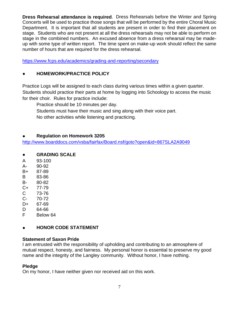**Dress Rehearsal attendance is required**. Dress Rehearsals before the Winter and Spring Concerts will be used to practice those songs that will be performed by the entire Choral Music Department. It is important that all students are present in order to find their placement on stage. Students who are not present at all the dress rehearsals may not be able to perform on stage in the combined numbers. An excused absence from a dress rehearsal may be madeup with some type of written report. The time spent on make-up work should reflect the same number of hours that are required for the dress rehearsal.

<https://www.fcps.edu/academics/grading-and-reporting/secondary>

# ● **HOMEWORK/PRACTICE POLICY**

Practice Logs will be assigned to each class during various times within a given quarter. Students should practice their parts at home by logging into Schoology to access the music for their choir. Rules for practice include:

Practice should be 10 minutes per day.

Students must have their music and sing along with their voice part.

No other activities while listening and practicing.

#### ● **Regulation on Homework 3205**

<http://www.boarddocs.com/vsba/fairfax/Board.nsf/goto?open&id=867SLA2A9049>

#### ● **GRADING SCALE**

- A 93-100
- A- 90-92
- B+ 87-89
- B 83-86
- B- 80-82
- C+ 77-79
- C 73-76
- C- 70-72
- D+ 67-69
- D 64-66
- F Below 64

# **• HONOR CODE STATEMENT**

#### **Statement of Saxon Pride**

I am entrusted with the responsibility of upholding and contributing to an atmosphere of mutual respect, honesty, and fairness. My personal honor is essential to preserve my good name and the integrity of the Langley community. Without honor, I have nothing.

#### **Pledge**

On my honor, I have neither given nor received aid on this work.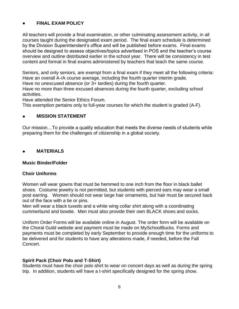### ● **FINAL EXAM POLICY**

All teachers will provide a final examination, or other culminating assessment activity, in all courses taught during the designated exam period. The final exam schedule is determined by the Division Superintendent's office and will be published before exams. Final exams should be designed to assess objectives/topics advertised in POS and the teacher's course overview and outline distributed earlier in the school year. There will be consistency in test content and format in final exams administered by teachers that teach the same course.

Seniors, and only seniors, are exempt from a final exam if they meet all the following criteria: Have an overall A-/A course average, including the fourth quarter interim grade.

Have no unexcused absence (or 3+ tardies) during the fourth quarter.

Have no more than three excused absences during the fourth quarter, excluding school activities.

Have attended the Senior Ethics Forum.

This exemption pertains only to full-year courses for which the student is graded (A-F).

#### ● **MISSION STATEMENT**

Our mission…To provide a quality education that meets the diverse needs of students while preparing them for the challenges of citizenship in a global society.

#### ● **MATERIALS**

#### **Music Binder/Folder**

#### **Choir Uniforms**

Women will wear gowns that must be hemmed to one inch from the floor in black ballet shoes. Costume jewelry is not permitted, but students with pierced ears may wear a small post earring. Women should not wear large hair ornaments, but hair must be secured back out of the face with a tie or pins.

Men will wear a black tuxedo and a white wing collar shirt along with a coordinating cummerbund and bowtie. Men must also provide their own BLACK shoes and socks.

Uniform Order Forms will be available online in August. The order form will be available on the Choral Guild website and payment must be made on MySchoolBucks. Forms and payments must be completed by early September to provide enough time for the uniforms to be delivered and for students to have any alterations made, if needed, before the Fall Concert.

#### **Spirit Pack (Choir Polo and T-Shirt)**

Students must have the choir polo shirt to wear on concert days as well as during the spring trip. In addition, students will have a t-shirt specifically designed for the spring show.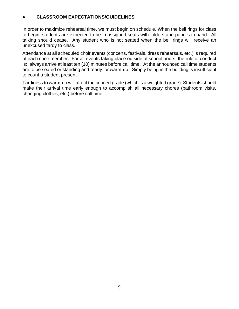#### ● **CLASSROOM EXPECTATIONS/GUIDELINES**

In order to maximize rehearsal time, we must begin on schedule. When the bell rings for class to begin, students are expected to be in assigned seats with folders and pencils in hand. All talking should cease. Any student who is not seated when the bell rings will receive an unexcused tardy to class.

Attendance at all scheduled choir events (concerts, festivals, dress rehearsals, etc.) is required of each choir member. For all events taking place outside of school hours, the rule of conduct is: always arrive at least ten (10) minutes before call time. At the announced call time students are to be seated or standing and ready for warm-up. Simply being in the building is insufficient to count a student present.

Tardiness to warm-up will affect the concert grade (which is a weighted grade). Students should make their arrival time early enough to accomplish all necessary chores (bathroom visits, changing clothes, etc.) before call time.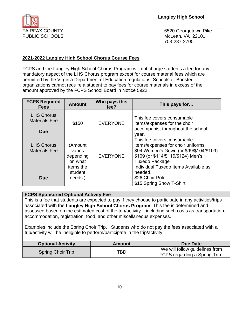FAIRFAX COUNTY **EXAMPLE 20 ACCOUNTY** 6520 Georgetown Pike 703-287-2700

#### **2021-2022 Langley High School Chorus Course Fees**

FCPS and the Langley High School Chorus Program will not charge students a fee for any mandatory aspect of the LHS Chorus program except for course material fees which are permitted by the Virginia Department of Education regulations. Schools or Booster organizations cannot require a student to pay fees for course materials in excess of the amount approved by the FCPS School Board in Notice 5922.

| <b>FCPS Required</b><br><b>Fees</b>                     | <b>Amount</b>                                                                | Who pays this<br>fee? | This pays for                                                                                                                                                                                                                                                                |
|---------------------------------------------------------|------------------------------------------------------------------------------|-----------------------|------------------------------------------------------------------------------------------------------------------------------------------------------------------------------------------------------------------------------------------------------------------------------|
| <b>LHS Chorus</b><br><b>Materials Fee</b><br><b>Due</b> | \$150                                                                        | <b>EVERYONE</b>       | This fee covers consumable<br>items/expenses for the choir<br>accompanist throughout the school<br>vear.                                                                                                                                                                     |
| <b>LHS Chorus</b><br><b>Materials Fee</b><br><b>Due</b> | (Amount<br>varies<br>depending<br>on what<br>items the<br>student<br>needs.) | <b>EVERYONE</b>       | This fee covers consumable<br>items/expenses for choir uniforms.<br>\$94 Women's Gown (or \$99/\$104/\$109)<br>\$109 (or \$114/\$119/\$124) Men's<br><b>Tuxedo Package</b><br>Individual Tuxedo Items Available as<br>needed.<br>\$26 Choir Polo<br>\$15 Spring Show T-Shirt |

#### **FCPS Sponsored Optional Activity Fee**

This is a fee that students are expected to pay if they choose to participate in any activities/trips associated with the **Langley High School Chorus Program**. This fee is determined and assessed based on the estimated cost of the trip/activity – including such costs as transportation, accommodation, registration, food, and other miscellaneous expenses.

Examples include the Spring Choir Trip. Students who do not pay the fees associated with a trip/activity will be ineligible to perform/participate in the trip/activity.

| <b>Optional Activity</b> | Amount | Due Date                                                       |
|--------------------------|--------|----------------------------------------------------------------|
| <b>Spring Choir Trip</b> | TBD    | We will follow guidelines from<br>FCPS regarding a Spring Trip |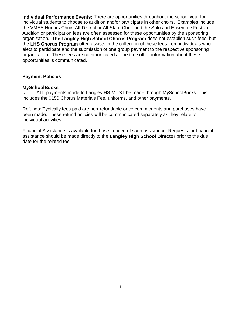**Individual Performance Events:** There are opportunities throughout the school year for individual students to choose to audition and/or participate in other choirs. Examples include the VMEA Honors Choir, All-District or All-State Choir and the Solo and Ensemble Festival. Audition or participation fees are often assessed for these opportunities by the sponsoring organization**. The Langley High School Chorus Program** does not establish such fees, but the **LHS Chorus Program** often assists in the collection of these fees from individuals who elect to participate and the submission of one group payment to the respective sponsoring organization. These fees are communicated at the time other information about these opportunities is communicated.

#### **Payment Policies**

#### **MySchoolBucks**

o ALL payments made to Langley HS MUST be made through MySchoolBucks. This includes the \$150 Chorus Materials Fee, uniforms, and other payments.

Refunds: Typically fees paid are non-refundable once commitments and purchases have been made. These refund policies will be communicated separately as they relate to individual activities.

Financial Assistance is available for those in need of such assistance. Requests for financial assistance should be made directly to the **Langley High School Director** prior to the due date for the related fee.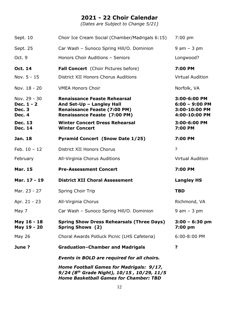# **2021 - 22 Choir Calendar**

*(Dates are Subject to Change 5/21)*

|                                                              | Home Football Games for Madrigals: 9/17,<br>9/24 (8th Grade Night), 10/15, 10/29, 11/5<br><b>Home Basketball Games for Chamber: TBD</b>        |                                                                    |
|--------------------------------------------------------------|------------------------------------------------------------------------------------------------------------------------------------------------|--------------------------------------------------------------------|
|                                                              | <b>Events in BOLD are required for all choirs.</b>                                                                                             |                                                                    |
| June?                                                        | <b>Graduation-Chamber and Madrigals</b>                                                                                                        | ?                                                                  |
| May 26                                                       | Choral Awards Potluck Picnic (LHS Cafeteria)                                                                                                   | 6:00-8:00 PM                                                       |
| May 16 - 18<br>May 19 - 20                                   | <b>Spring Show Dress Rehearsals (Three Days)</b><br><b>Spring Shows (2)</b>                                                                    | $3:00 - 6:30$ pm<br>7:00 pm                                        |
| May 7                                                        | Car Wash - Sunoco Spring Hill/O. Dominion                                                                                                      | $9$ am $-$ 3 pm                                                    |
| Apr. 21 - 23                                                 | All-Virginia Chorus                                                                                                                            | Richmond, VA                                                       |
| Mar. 23 - 27                                                 | Spring Choir Trip                                                                                                                              | <b>TBD</b>                                                         |
| Mar. 17 - 19                                                 | <b>District XII Choral Assessment</b>                                                                                                          | <b>Langley HS</b>                                                  |
| <b>Mar. 15</b>                                               | <b>Pre-Assessment Concert</b>                                                                                                                  | 7:00 PM                                                            |
| February                                                     | All-Virginia Chorus Auditions                                                                                                                  | <b>Virtual Audition</b>                                            |
| Feb. $10 - 12$                                               | District XII Honors Chorus                                                                                                                     | $\overline{?}$                                                     |
| Jan. 18                                                      | <b>Pyramid Concert (Snow Date 1/25)</b>                                                                                                        | 7:00 PM                                                            |
| <b>Dec. 13</b><br><b>Dec. 14</b>                             | <b>Winter Concert Dress Rehearsal</b><br><b>Winter Concert</b>                                                                                 | 3:00-6:00 PM<br>7:00 PM                                            |
| Nov. 29 - 30<br>Dec. 1 - 2<br><b>Dec. 3</b><br><b>Dec. 4</b> | <b>Renaissance Feaste Rehearsal</b><br>And Set-Up - Langley Hall<br><b>Renaissance Feaste (7:00 PM)</b><br><b>Renaissance Feaste (7:00 PM)</b> | 3:00-6:00 PM<br>$6:00 - 9:00$ PM<br>3:00-10:00 PM<br>4:00-10:00 PM |
| Nov. 18 - 20                                                 | <b>VMEA Honors Choir</b>                                                                                                                       | Norfolk, VA                                                        |
| Nov. 5 - 15                                                  | District XII Honors Chorus Auditions                                                                                                           | <b>Virtual Audition</b>                                            |
| Oct. 14                                                      | <b>Fall Concert</b> (Choir Pictures before)                                                                                                    | 7:00 PM                                                            |
| Oct. 9                                                       | Honors Choir Auditions - Seniors                                                                                                               | Longwood?                                                          |
| Sept. 25                                                     | Car Wash - Sunoco Spring Hill/O. Dominion                                                                                                      | $9$ am $-3$ pm                                                     |
| Sept. 10                                                     | Choir Ice Cream Social (Chamber/Madrigals 6:15)                                                                                                | $7:00 \text{ pm}$                                                  |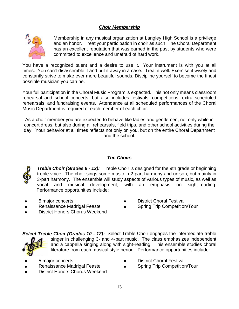# *Choir Membership*



Membership in any musical organization at Langley High School is a privilege and an honor. Treat your participation in choir as such. The Choral Department has an excellent reputation that was earned in the past by students who were committed to excellence and unafraid of hard work.

You have a recognized talent and a desire to use it. Your instrument is with you at all times. You can't disassemble it and put it away in a case. Treat it well. Exercise it wisely and constantly strive to make ever more beautiful sounds. Discipline yourself to become the finest possible musician you can be.

Your full participation in the Choral Music Program is expected. This not only means classroom rehearsal and school concerts, but also includes festivals, competitions, extra scheduled rehearsals, and fundraising events. Attendance at all scheduled performances of the Choral Music Department is required of each member of each choir.

As a choir member you are expected to behave like ladies and gentlemen, not only while in concert dress, but also during all rehearsals, field trips, and other school activities during the day. Your behavior at all times reflects not only on you, but on the entire Choral Department and the school.

#### *The Choirs*



*Treble Choir (Grades 9 - 12):* Treble Choir is designed for the 9th grade or beginning treble voice. The choir sings some music in 2-part harmony and unison, but mainly in 3-part harmony. The ensemble will study aspects of various types of music, as well as vocal and musical development, with an emphasis on sight-reading. Performance opportunities include:

- 5 major concerts
- Renaissance Madrigal Feaste
- **District Choral Festival**
- Spring Trip Competition/Tour
- District Honors Chorus Weekend

*Select Treble Choir (Grades 10 - 12):* Select Treble Choir engages the intermediate treble singer in challenging 3- and 4-part music. The class emphasizes independent and a cappella singing along with sight-reading. This ensemble studies choral literature from each musical style period. Performance opportunities include:

- 5 major concerts
- Renaissance Madrigal Feaste
- **District Choral Festival**
- Spring Trip Competition/Tour
- District Honors Chorus Weekend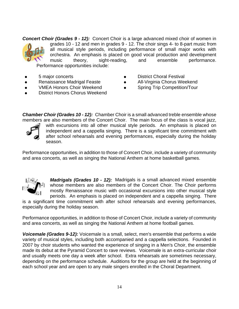*Concert Choir (Grades 9 - 12):* Concert Choir is a large advanced mixed choir of women in grades 10 - 12 and men in grades 9 - 12. The choir sings 4- to 8-part music from all musical style periods, including performance of small major works with orchestra. An emphasis is placed on good vocal production and development music theory, sight-reading, and ensemble performance. Performance opportunities include:

- 5 major concerts
- Renaissance Madrigal Feaste
- **VMEA Honors Choir Weekend**
- **District Honors Chorus Weekend**
- **District Choral Festival**
- All-Virginia Chorus Weekend
- **Spring Trip Competition/Tour**
- *Chamber Choir (Grades 10 - 12):* Chamber Choir is a small advanced treble ensemble whose members are also members of the Concert Choir. The main focus of the class is vocal jazz,



with excursions into all other musical style periods. An emphasis is placed on independent and a cappella singing. There is a significant time commitment with after school rehearsals and evening performances, especially during the holiday season.

Performance opportunities, in addition to those of Concert Choir, include a variety of community and area concerts, as well as singing the National Anthem at home basketball games.



*Madrigals (Grades 10 - 12):* Madrigals is a small advanced mixed ensemble whose members are also members of the Concert Choir. The Choir performs mostly Renaissance music with occasional excursions into other musical style periods. An emphasis is placed on independent and a cappella singing. There

is a significant time commitment with after school rehearsals and evening performances, especially during the holiday season.

Performance opportunities, in addition to those of Concert Choir, include a variety of community and area concerts, as well as singing the National Anthem at home football games.

*Voicemale (Grades 9-12):* Voicemale is a small, select, men's ensemble that performs a wide variety of musical styles, including both accompanied and a cappella selections. Founded in 2007 by choir students who wanted the experience of singing in a Men's Choir, the ensemble made its debut at the Pyramid Concert to rave reviews. Voicemale is an extra-curricular choir and usually meets one day a week after school. Extra rehearsals are sometimes necessary, depending on the performance schedule. Auditions for the group are held at the beginning of each school year and are open to any male singers enrolled in the Choral Department.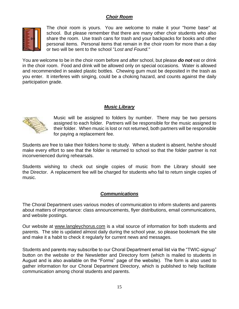# *Choir Room*



The choir room is yours. You are welcome to make it your "home base" at school. But please remember that there are many other choir students who also share the room. Use trash cans for trash and your backpacks for books and other personal items. Personal items that remain in the choir room for more than a day or two will be sent to the school "*Lost and Found.*"

You are welcome to be in the choir room before and after school, but please *do not* eat or drink in the choir room. Food and drink will be allowed only on special occasions. Water is allowed and recommended in sealed plastic bottles. Chewing gum must be deposited in the trash as you enter. It interferes with singing, could be a choking hazard, and counts against the daily participation grade.

#### *Music Library*



Music will be assigned to folders by number. There may be two persons assigned to each folder. Partners will be responsible for the music assigned to their folder. When music is lost or not returned, both partners will be responsible for paying a replacement fee.

Students are free to take their folders home to study. When a student is absent, he/she should make every effort to see that the folder is returned to school so that the folder partner is not inconvenienced during rehearsals.

Students wishing to check out single copies of music from the Library should see the Director. A replacement fee will be charged for students who fail to return single copies of music.

#### *Communications*

The Choral Department uses various modes of communication to inform students and parents about matters of importance: class announcements, flyer distributions, email communications, and website postings.

Our website at www.langleychorus.com is a vital source of information for both students and parents. The site is updated almost daily during the school year, so please bookmark the site and make it a habit to check it regularly for current news and messages.

Students and parents may subscribe to our Choral Department email list via the "TWIC-signup" button on the website or the Newsletter and Directory form (which is mailed to students in August and is also available on the "Forms" page of the website). The form is also used to gather information for our Choral Department Directory, which is published to help facilitate communication among choral students and parents.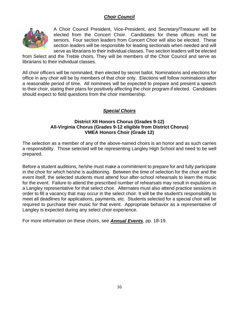# *Choir Council*



A Choir Council President, Vice-President, and Secretary/Treasurer will be elected from the Concert Choir. Candidates for these offices must be seniors. Four section leaders from Concert Choir will also be elected. These section leaders will be responsible for leading sectionals when needed and will serve as librarians to their individual classes. Two section leaders will be elected

from Select and the Treble choirs. They will be members of the Choir Council and serve as librarians to their individual classes.

All choir officers will be nominated, then elected by secret ballot. Nominations and elections for office in any choir will be by members of that choir only. Elections will follow nominations after a reasonable period of time. All nominees will be expected to prepare and present a speech to their choir, stating their plans for positively affecting the choir program if elected. Candidates should expect to field questions from the choir membership.

# *Special Choirs*

#### **District XII Honors Chorus (Grades 9-12) All-Virginia Chorus (Grades 9-12 eligible from District Chorus) VMEA Honors Choir (Grade 12)**

The selection as a member of any of the above-named choirs is an honor and as such carries a responsibility. Those selected will be representing Langley High School and need to be well prepared.

Before a student auditions, he/she must make a commitment to prepare for and fully participate in the choir for which he/she is auditioning. Between the time of selection for the choir and the event itself, the selected students must attend four after-school rehearsals to learn the music for the event. Failure to attend the prescribed number of rehearsals may result in expulsion as a Langley representative for that select choir. Alternates must also attend practice sessions in order to fill a vacancy that may occur in the select choir. It will be the student's responsibility to meet all deadlines for applications, payments, etc. Students selected for a special choir will be required to purchase their music for that event. Appropriate behavior as a representative of Langley is expected during any select choir experience.

For more information on these choirs, see *Annual Events*, pp. 18-19.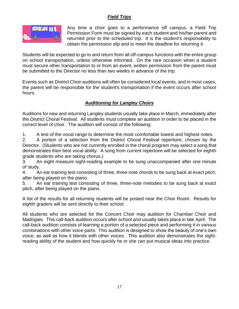# *Field Trips*



Any time a choir goes to a performance off campus, a Field Trip Permission Form must be signed by each student and his/her parent and returned prior to the scheduled trip. It is the student's responsibility to obtain the permission slip and to meet the deadline for returning it.

Students will be expected to go to and return from all off-campus functions with the entire group on school transportation, unless otherwise informed. On the rare occasion when a student must secure other transportation to or from an event, written permission from the parent must be submitted to the Director no less than two weeks in advance of the trip.

Events such as District Choir auditions will often be considered local events, and in most cases, the parent will be responsible for the student's transportation if the event occurs after school hours.

# *Auditioning for Langley Choirs*

Auditions for new and returning Langley students usually take place in March, immediately after the District Choral Festival. All students must complete an audition in order to be placed in the correct level of choir. The audition will consist of the following:

1. A test of the vocal range to determine the most comfortable lowest and highest notes.

2. A portion of a selection from the District Choral Festival repertoire, chosen by the Director. (Students who are not currently enrolled in the choral program may select a song that demonstrates their best vocal ability. A song from current repertoire will be selected for eighth grade students who are taking chorus.)

3. An eight measure sight-reading example to be sung unaccompanied after one minute of study.

4. An ear training test consisting of three, three-note chords to be sung back at exact pitch, after being played on the piano.

5. An ear training test consisting of three, three-note melodies to be sung back at exact pitch, after being played on the piano.

A list of the results for all returning students will be posted near the Choir Room. Results for eighth graders will be sent directly to their school.

All students who are selected for the Concert Choir may audition for Chamber Choir and Madrigals. This call-back audition occurs after school and usually takes place in late April. The call-back audition consists of learning a portion of a selected piece and performing it in various combinations with other voice parts. This audition is designed to show the beauty of one's own voice, as well as how it blends with other voices. This audition also demonstrates the sightreading ability of the student and how quickly he or she can put musical ideas into practice.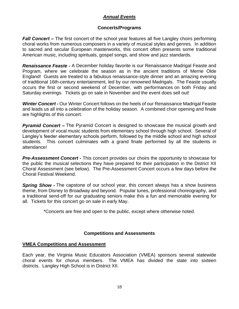### *Annual Events*

#### **Concerts/Programs**

*Fall Concert* – The first concert of the school year features all five Langley choirs performing choral works from numerous composers in a variety of musical styles and genres. In addition to sacred and secular European masterworks, this concert often presents some traditional American music, including spirituals, gospel songs, and show and jazz standards.

*Renaissance Feaste -* A December holiday favorite is our Renaissance Madrigal Feaste and Program, where we celebrate the season as in the ancient traditions of Merrie Olde England! Guests are treated to a fabulous renaissance-style dinner and an amazing evening of traditional 16th-century entertainment, led by our renowned Madrigals. The Feaste usually occurs the first or second weekend of December, with performances on both Friday and Saturday evenings. Tickets go on sale in November and the event does sell out!

*Winter Concert -* Our Winter Concert follows on the heels of our Renaissance Madrigal Feaste and leads us all into a celebration of the holiday season. A combined choir opening and finale are highlights of this concert.

*Pyramid Concert –* The Pyramid Concert is designed to showcase the musical growth and development of vocal music students from elementary school through high school. Several of Langley's feeder elementary schools perform, followed by the middle school and high school students. This concert culminates with a grand finale performed by all the students in attendance!

*Pre-Assessment Concert -* This concert provides our choirs the opportunity to showcase for the public the musical selections they have prepared for their participation in the District XII Choral Assessment (see below). The Pre-Assessment Concert occurs a few days before the Choral Festival Weekend.

*Spring Show -* The capstone of our school year, this concert always has a show business theme, from Disney to Broadway and beyond. Popular tunes, professional choreography, and a traditional send-off for our graduating seniors make this a fun and memorable evening for all. Tickets for this concert go on sale in early May.

\*Concerts are free and open to the public, except where otherwise noted.

#### **Competitions and Assessments**

#### **VMEA Competitions and Assessment**

Each year, the Virginia Music Educators Association (VMEA) sponsors several statewide choral events for chorus members. The VMEA has divided the state into sixteen districts. Langley High School is in District XII.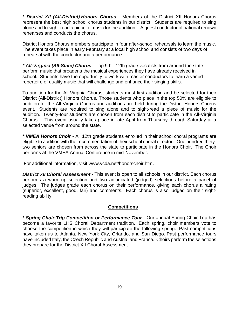*\* District XII (All-District) Honors Chorus* - Members of the District XII Honors Chorus represent the best high school chorus students in our district. Students are required to sing alone and to sight-read a piece of music for the audition. A guest conductor of national renown rehearses and conducts the chorus.

District Honors Chorus members participate in four after-school rehearsals to learn the music. The event takes place in early February at a local high school and consists of two days of rehearsal with the conductor and a performance.

*\* All-Virginia (All-State) Chorus* - Top 9th - 12th grade vocalists from around the state perform music that broadens the musical experiences they have already received in school. Students have the opportunity to work with master conductors to learn a varied repertoire of quality music that will challenge and enhance their singing skills.

To audition for the All-Virginia Chorus, students must first audition and be selected for their District (All-District) Honors Chorus. Those students who place in the top 50% are eligible to audition for the All-Virginia Chorus and auditions are held during the District Honors Chorus event. Students are required to sing alone and to sight-read a piece of music for the audition. Twenty-four students are chosen from each district to participate in the All-Virginia Chorus. This event usually takes place in late April from Thursday through Saturday at a selected venue from around the state.

*\* VMEA Honors Choir* - All 12th grade students enrolled in their school choral programs are eligible to audition with the recommendation of their school choral director. One hundred thirtytwo seniors are chosen from across the state to participate in the Honors Choir. The Choir performs at the VMEA Annual Conference in mid-November.

For additional information, visit [www.v](http://www.vahonorschoir.org/)cda.net/honorschoir.htm.

*District XII Choral Assessment* - This event is open to all schools in our district. Each chorus performs a warm-up selection and two adjudicated (judged) selections before a panel of judges. The judges grade each chorus on their performance, giving each chorus a rating (superior, excellent, good, fair) and comments. Each chorus is also judged on their sightreading ability.

#### **Competitions**

*\* Spring Choir Trip Competition or Performance Tour* - Our annual Spring Choir Trip has become a favorite LHS Choral Department tradition. Each spring, choir members vote to choose the competition in which they will participate the following spring. Past competitions have taken us to Atlanta, New York City, Orlando, and San Diego. Past performance tours have included Italy, the Czech Republic and Austria, and France. Choirs perform the selections they prepare for the District XII Choral Assessment.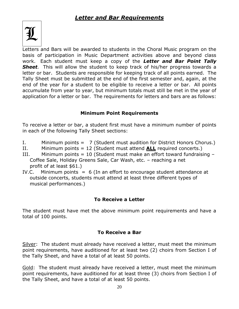

Letters and Bars will be awarded to students in the Choral Music program on the basis of participation in Music Department activities above and beyond class work. Each student must keep a copy of the *Letter and Bar Point Tally Sheet.* This will allow the student to keep track of his/her progress towards a letter or bar. Students are responsible for keeping track of all points earned. The Tally Sheet must be submitted at the end of the first semester and, again, at the end of the year for a student to be eligible to receive a letter or bar. All points accumulate from year to year, but minimum totals must still be met in the year of application for a letter or bar. The requirements for letters and bars are as follows:

# **Minimum Point Requirements**

To receive a letter or bar, a student first must have a minimum number of points in each of the following Tally Sheet sections:

- I. Minimum points = 7 (Student must audition for District Honors Chorus.)
- II. Minimum points = 12 (Student must attend **ALL** required concerts.)
- III. Minimum points = 10 (Student must make an effort toward fundraising  $-$ Coffee Sale, Holiday Greens Sale, Car Wash, etc. – reaching a net profit of at least \$61.)
- IV.C. Minimum points  $= 6$  (In an effort to encourage student attendance at outside concerts, students must attend at least three different types of musical performances.)

# **To Receive a Letter**

The student must have met the above minimum point requirements and have a total of 100 points.

# **To Receive a Bar**

Silver: The student must already have received a letter, must meet the minimum point requirements, have auditioned for at least two (2) choirs from Section I of the Tally Sheet, and have a total of at least 50 points.

Gold: The student must already have received a letter, must meet the minimum point requirements, have auditioned for at least three (3) choirs from Section I of the Tally Sheet, and have a total of at least 50 points.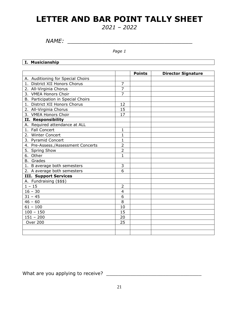# **LETTER AND BAR POINT TALLY SHEET**

*2021 – 2022*

*NAME: \_\_\_\_\_\_\_\_\_\_\_\_\_\_\_\_\_\_\_\_\_\_\_\_\_\_\_\_\_\_\_\_\_\_\_\_*

*Page 1*

<u> 1989 - Johann Barn, fransk politik (d. 1989)</u>

**I. Musicianship**

|                                    |                | <b>Points</b> | <b>Director Signature</b> |
|------------------------------------|----------------|---------------|---------------------------|
| A. Auditioning for Special Choirs  |                |               |                           |
| 1. District XII Honors Chorus      | $\overline{7}$ |               |                           |
| 2. All-Virginia Chorus             | $\overline{7}$ |               |                           |
| 3. VMEA Honors Choir               | $\overline{7}$ |               |                           |
| B. Participation in Special Choirs |                |               |                           |
| 1. District XII Honors Chorus      | 12             |               |                           |
| 2. All-Virginia Chorus             | 15             |               |                           |
| 3. VMEA Honors Choir               | 17             |               |                           |
| II. Responsibility                 |                |               |                           |
| A. Required attendance at ALL      |                |               |                           |
| 1. Fall Concert                    | $\mathbf{1}$   |               |                           |
| 2. Winter Concert                  | $\mathbf{1}$   |               |                           |
| 3. Pyramid Concert                 | $\mathbf{1}$   |               |                           |
| 4. Pre-Assess./Assessment Concerts | $\overline{2}$ |               |                           |
| 5. Spring Show                     | $\overline{2}$ |               |                           |
| 6. Other                           | $\mathbf{1}$   |               |                           |
| <b>B.</b> Grades                   |                |               |                           |
| 1. B average both semesters        | 3              |               |                           |
| 2. A average both semesters        | 6              |               |                           |
| <b>III. Support Services</b>       |                |               |                           |
| A. Fundraising (\$\$\$)            |                |               |                           |
| $1 - 15$                           | $\overline{2}$ |               |                           |
| $16 - 30$                          | 4              |               |                           |
| $31 - 45$                          | 6              |               |                           |
| $46 - 60$                          | 8              |               |                           |
| $\frac{1}{61}$ – 100               | 10             |               |                           |
| $100 - 150$                        | 15             |               |                           |
| $151 - 200$                        | 20             |               |                           |
| Over 200                           | 25             |               |                           |
|                                    |                |               |                           |
|                                    |                |               |                           |

What are you applying to receive? \_\_\_\_\_\_\_\_\_\_\_\_\_\_\_\_\_\_\_\_\_\_\_\_\_\_\_\_\_\_\_\_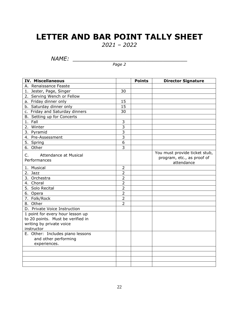# **LETTER AND BAR POINT TALLY SHEET**

*2021 – 2022*

*NAME: \_\_\_\_\_\_\_\_\_\_\_\_\_\_\_\_\_\_\_\_\_\_\_\_\_\_\_\_\_\_\_\_\_*

*Page 2*

| <b>IV. Miscellaneous</b>                                                                                        |                | <b>Points</b> | <b>Director Signature</b>                                                 |
|-----------------------------------------------------------------------------------------------------------------|----------------|---------------|---------------------------------------------------------------------------|
| A. Renaissance Feaste                                                                                           |                |               |                                                                           |
| 1. Jester, Page, Singer                                                                                         | 30             |               |                                                                           |
| 2. Serving Wench or Fellow                                                                                      |                |               |                                                                           |
| a. Friday dinner only                                                                                           | 15             |               |                                                                           |
| b. Saturday dinner only                                                                                         | 15             |               |                                                                           |
| c. Friday and Saturday dinners                                                                                  | 30             |               |                                                                           |
| B. Setting up for Concerts                                                                                      |                |               |                                                                           |
| 1. Fall                                                                                                         | 3              |               |                                                                           |
| 2. Winter                                                                                                       | $\overline{3}$ |               |                                                                           |
| 3. Pyramid                                                                                                      | $\overline{3}$ |               |                                                                           |
| 4. Pre-Assessment                                                                                               | $\overline{3}$ |               |                                                                           |
| 5. Spring                                                                                                       | 6              |               |                                                                           |
| 6. Other                                                                                                        | 3              |               |                                                                           |
| Attendance at Musical<br>C.<br>Performances                                                                     |                |               | You must provide ticket stub,<br>program, etc., as proof of<br>attendance |
| 1. Musical                                                                                                      | $\overline{2}$ |               |                                                                           |
| 2. Jazz                                                                                                         | $\overline{2}$ |               |                                                                           |
| 3. Orchestra                                                                                                    | $\overline{2}$ |               |                                                                           |
| 4. Choral                                                                                                       | $\overline{2}$ |               |                                                                           |
| 5. Solo Recital                                                                                                 | $\overline{2}$ |               |                                                                           |
| 6. Opera                                                                                                        | $\overline{2}$ |               |                                                                           |
| 7. Folk/Rock                                                                                                    | $\overline{2}$ |               |                                                                           |
| 8. Other                                                                                                        | $\overline{2}$ |               |                                                                           |
| D. Private Voice Instruction                                                                                    |                |               |                                                                           |
| 1 point for every hour lesson up<br>to 20 points. Must be verified in<br>writing by private voice<br>instructor |                |               |                                                                           |
| E. Other: Includes piano lessons                                                                                |                |               |                                                                           |
| and other performing                                                                                            |                |               |                                                                           |
| experiences.                                                                                                    |                |               |                                                                           |
|                                                                                                                 |                |               |                                                                           |
|                                                                                                                 |                |               |                                                                           |
|                                                                                                                 |                |               |                                                                           |
|                                                                                                                 |                |               |                                                                           |